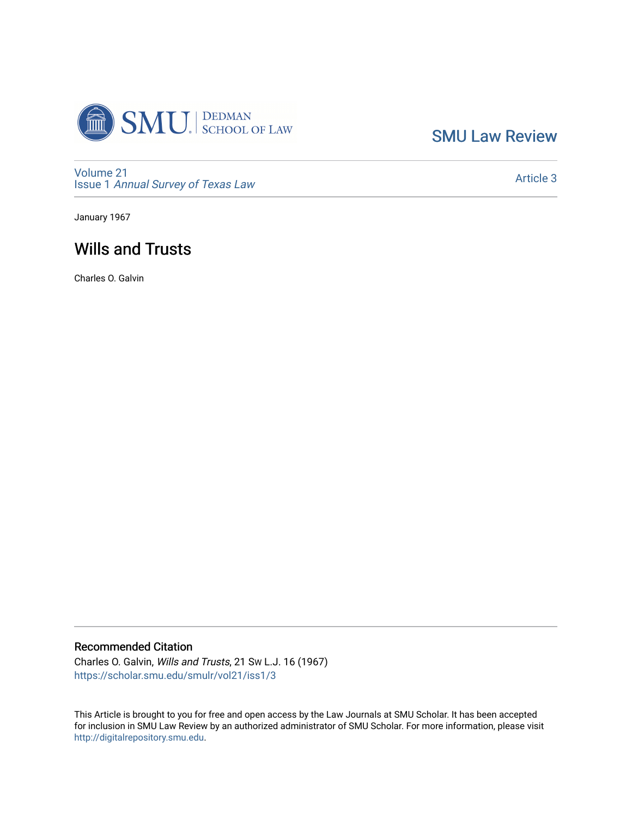

[SMU Law Review](https://scholar.smu.edu/smulr) 

[Volume 21](https://scholar.smu.edu/smulr/vol21) Issue 1 [Annual Survey of Texas Law](https://scholar.smu.edu/smulr/vol21/iss1) 

[Article 3](https://scholar.smu.edu/smulr/vol21/iss1/3) 

January 1967

# Wills and Trusts

Charles O. Galvin

# Recommended Citation

Charles O. Galvin, Wills and Trusts, 21 SW L.J. 16 (1967) [https://scholar.smu.edu/smulr/vol21/iss1/3](https://scholar.smu.edu/smulr/vol21/iss1/3?utm_source=scholar.smu.edu%2Fsmulr%2Fvol21%2Fiss1%2F3&utm_medium=PDF&utm_campaign=PDFCoverPages) 

This Article is brought to you for free and open access by the Law Journals at SMU Scholar. It has been accepted for inclusion in SMU Law Review by an authorized administrator of SMU Scholar. For more information, please visit [http://digitalrepository.smu.edu.](http://digitalrepository.smu.edu/)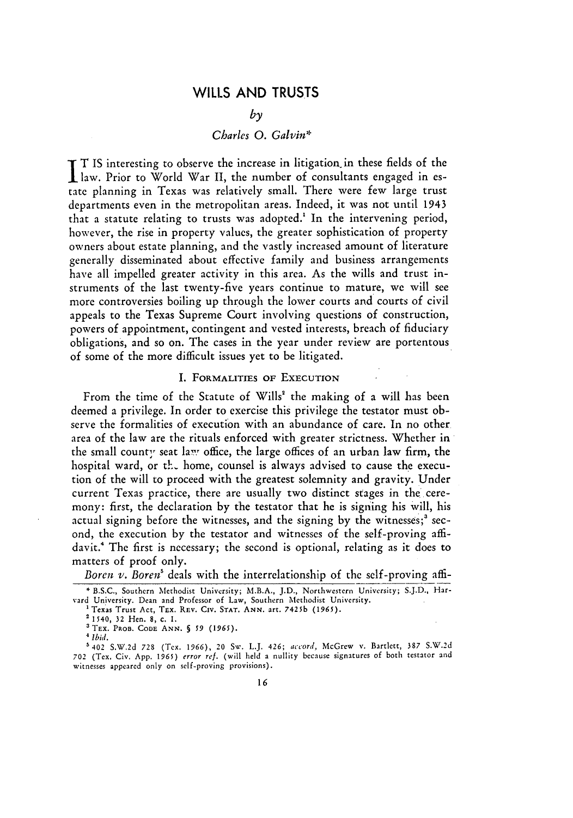# WILLS **AND TRUSTS**

#### *by*

## *Charles 0. Galvin\**

T **IS** interesting to observe the increase in litigation in these fields of the law. Prior to World War II, the number of consultants engaged in estate planning in Texas was relatively small. There were few large trust departments even in the metropolitan areas. Indeed, it was not until 1943 that a statute relating to trusts was adopted.<sup>1</sup> In the intervening period, however, the rise in property values, the greater sophistication of property owners about estate planning, and the vastly increased amount of literature generally disseminated about effective family and business arrangements have all impelled greater activity in this area. As the wills and trust instruments of the last twenty-five years continue to mature, we will see more controversies boiling up through the lower courts and courts of civil appeals to the Texas Supreme Court involving questions of construction, powers of appointment, contingent and vested interests, breach of fiduciary obligations, and so on. The cases in the year under review are portentous of some of the more difficult issues yet to be litigated.

#### I. **FORMALITIES** OF **EXECUTION**

From the time of the Statute of Wills' the making of a will has been deemed a privilege. In order to exercise this privilege the testator must observe the formalities of execution with an abundance of care. In no other area of the law are the rituals enforced with greater strictness. Whether in the small county seat law office, the large offices of an urban law firm, the hospital ward, or the home, counsel is always advised to cause the execution of the will to proceed with the greatest solemnity and gravity. Under current Texas practice, there are usually two distinct stages in the ceremony: first, the declaration by the testator that he is signing his will, his actual signing before the witnesses, and the signing by the witnesses;<sup>3</sup> second, the execution by the testator and witnesses of the self-proving affidavit.4 The first is necessary; the second is optional, relating as it does to matters of proof only.

*Boren v. Boren'* deals with the interrelationship of the self-proving affi-

**<sup>\*</sup>** B.S.C., Southern Methodist University; M.B.A., J.D., Northwestern University; S.J.D., Harvard University. Dean and Professor of Law, Southern Methodist University. **<sup>1</sup>**Texas Trust Act, TEx. REv. CIv. **STAT. ANN.** art. **7425b** (1965).

<sup>21540, 32</sup> Hen. 8, c. **1.**

aTEX. PROB. **CODE ANN.** § *59 (1965).*

*Ibid.*

<sup>&#</sup>x27;402 S.W.2d **728** (Tex. 1966), 20 Sw. L.J. 426; *accord,* McGrew v. Bartlett, 387 S.W.2d 702 (Tex. Civ. App. 1965) *error ref.* (will held a nullity because signatures of both testator and witnesses appeared only on self-proving provisions).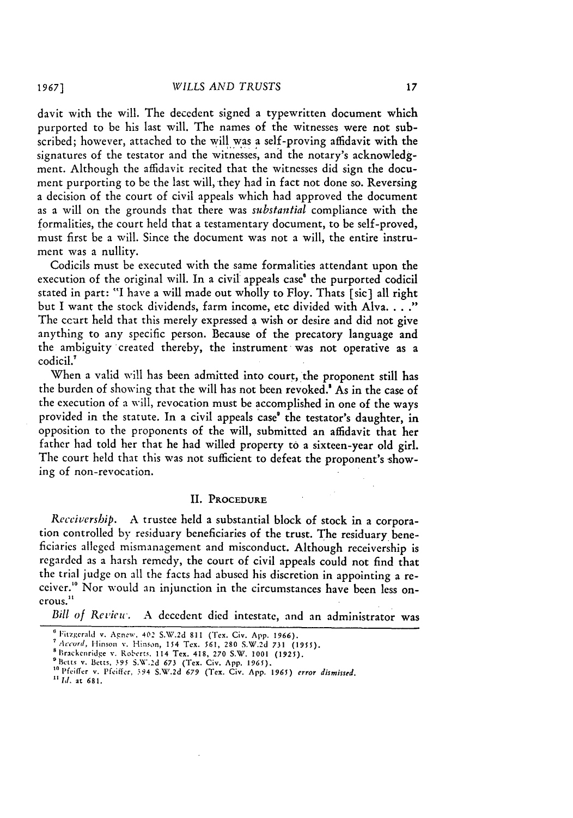davit with the will. The decedent signed a typewritten document which purported to be his last will. The names of the witnesses were not subscribed; however, attached to the will was a self-proving affidavit with the signatures of the testator and the witnesses, and the notary's acknowledgment. Although the affidavit recited that the witnesses did sign the document purporting to be the last will, they had in fact not done so. Reversing a decision of the court of civil appeals which had approved the document as a will on the grounds that there was *substantial* compliance with the formalities, the court held that a testamentary document, to be self-proved, must first be a will. Since the document was not a will, the entire instrument was a nullity.

Codicils must be executed with the same formalities attendant upon the execution of the original will. In a civil appeals case<sup>®</sup> the purported codicil stated in part: "I have a will made out wholly to Floy. Thats [sic] all right<br>but I want the stock dividends, farm income, etc divided with Alva...." The ccurt held that this merely expressed a wish or desire and did not give anything to any specific person. Because of the precatory language and the ambiguity created thereby, the instrument was not operative as a codicil.'

When a valid will has been admitted into court, the proponent still has the burden of showing that the will has not been revoked.<sup>8</sup> As in the case of the execution of a will, revocation must be accomplished in one of the ways provided in the statute. In a civil appeals case' the testator's daughter, in opposition to the proponents of the will, submitted an affidavit that her father had told her that he had willed property to a sixteen-year old girl. The court held that this was not sufficient to defeat the proponent's showing of non-revocation.

#### II. **PROCEDURE**

*Receivership.* A trustee held a substantial block of stock in a corporation controlled by residuary beneficiaries of the trust. The residuary beneficiaries alleged mismanagement and misconduct. Although receivership is regarded as a harsh remedy, the court of civil appeals could not find that the trial judge on all the facts had abused his discretion in appointing a receiver." Nor would an injunction in the circumstances have been less onerous."

*Bill of* Review. A decedent died intestate, and an administrator was

**<sup>6</sup>**Fitzgerald v. Agnew. 402 S.W.2d 811 (Tex. Civ. App. 1966).

*<sup>7</sup>Accurd,* Itinson v. Hison, 154 Tex. **561,** 280 S.W.2d *731 (1955).* SBrackcnridge v. Roberts. 114 Tex. 418, 270 S.W. 1001 (1925).

**Drackenringe v. Roeetts, 114 1ex. 418, 270 S.W. 1001 (1925).**<br><sup>8</sup> Betts v. Betts, 395 S.W.2d 673 (Tex. Civ. App. 1965).

**<sup>&</sup>quot;** *1i.* at **681.**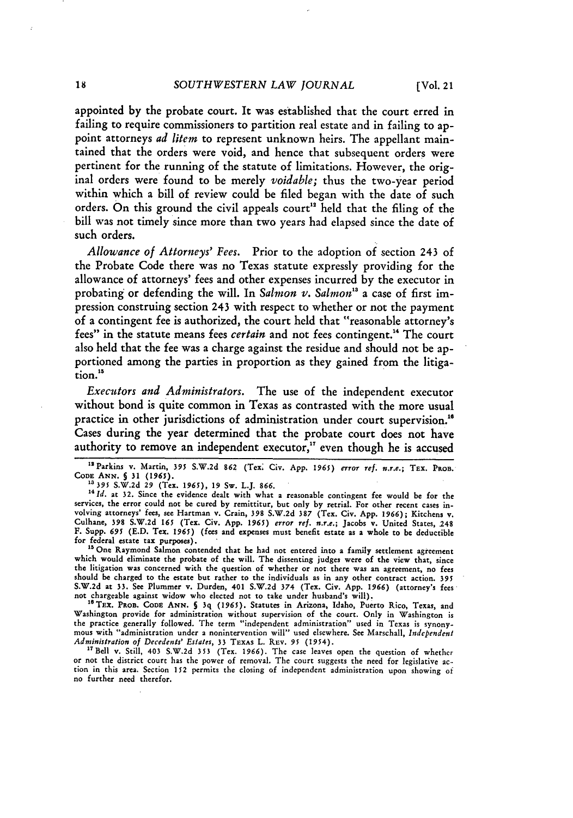appointed by the probate court. It was established that the court erred in failing to require commissioners to partition real estate and in failing to appoint attorneys *ad litem* to represent unknown heirs. The appellant maintained that the orders were void, and hence that subsequent orders were pertinent for the running of the statute of limitations. However, the original orders were found to be merely *voidable;* thus the two-year period within which a bill of review could be filed began with the date of such orders. On this ground the civil appeals court" held that the filing of the bill was not timely since more than two years had elapsed since the date of such orders.

*Allowance of Attorneys' Fees.* Prior to the adoption of section 243 of the Probate Code there was no Texas statute expressly providing for the allowance of attorneys' fees and other expenses incurred by the executor in probating or defending the will. In *Salmon v. Salmon's* a case of first impression construing section 243 with respect to whether or not the payment of a contingent fee is authorized, the court held that "reasonable attorney's fees" in the statute means fees *certain* and not fees contingent. 4 The court also held that the fee was a charge against the residue and should not be apportioned among the parties in proportion as they gained from the litigation."'

*Executors and Administrators.* The use of the independent executor without bond is quite common in Texas as contrasted with the more usual practice in other jurisdictions of administration under court supervision.' Cases during the year determined that the probate court does not have authority to remove an independent executor," even though he is accused

<sup>13</sup> Parkins v. Martin, 395 S.W.2d 862 (Tex. Civ. App. 1965) *error ref. n.r.e.*; TEX. PROB. **CODE ANN. 5 31 (1965). 13** *395* S.W.2d **29** (Tex. 1965), **19** Sw. L.J. **866.**

<sup>14</sup> Id. at 32. Since the evidence dealt with what a reasonable contingent fee would be for the services, the error could not be cured by remittitur, but only **by** retrial. For other recent cases involving attorneys' fees, see Hartman v. Crain, 398 S.W.2d 387 (Tex. Civ. App. 1966); Kitchens v.<br>Culhane, 398 S.W.2d 165 (Tex. Civ. App. 1965) error ref. n.r.e.; Jacobs v. United States, 248 F. Supp. *695* **(E.D.** Tex. 1965) (fees and expenses must benefit estate as a whole to **be** deductible

for federal estate tax purposes).<br><sup>15</sup> One Raymond Salmon contended that he had not entered into a family settlement agreement<br>which would eliminate the probate of the will. The dissenting judges were of the view that, sin which would eliminate the probate of the will. The dissenting judges were of the view that, since<br>the litigation was concerned with the question of whether or not there was an agreement, no fees should be charged to the estate but rather to the individuals as in any other contract action. **395** S.W.2d at **33.** See Plummer v. Durden, 401 S.W.2d 374 (Tex. Civ. App. **1966)** (attorney's fees not chargeable against widow who elected not to take under husband's will).<br><sup>16</sup> TEX. PROB. CODE ANN. **5** <sup>3</sup>q (1965). Statutes in Arizona, Idaho, Puerto Rico, Texas, and<br><sup>16</sup> TEX. PROB. CODE ANN. **5** <sup>3</sup>q (1965). Statutes

Washington provide for administration without supervision of the court. Only in Washington is the practice generally followed. The term "independent administration" used in Texas is synony- mous with "administration under a nonintervention will" used elsewhere. See Marschall, *Independent Administration of Decedents' Estates,* 33 TEXAS L. REv. **95** (1954).

<sup>17</sup> Bell v. Still, 403 S.W.2d 353 (Tex. 1966). The case leaves open the question of whether or not the district court has the power of removal. The court suggests the need for legislative action in this area. Section 152 permits the closing of independent administration upon showing of no further need therefor.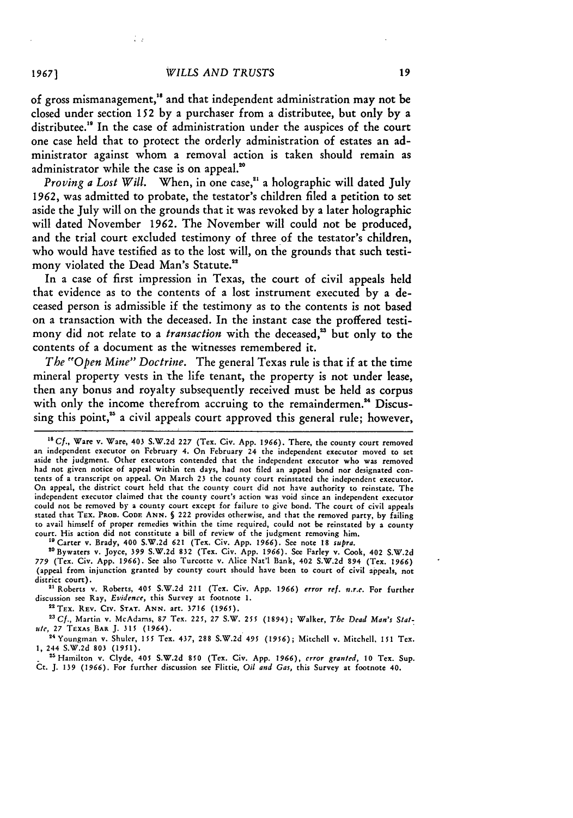Ι.

of gross mismanagement," and that independent administration may not be closed under section 152 by a purchaser from a distributee, but only by a distributee.<sup>19</sup> In the case of administration under the auspices of the court one case held that to protect the orderly administration of estates an administrator against whom a removal action is taken should remain as administrator while the case is on appeal.<sup>20</sup>

*Proving a Lost Will.* When, in one case,<sup>21</sup> a holographic will dated July 1962, was admitted to probate, the testator's children filed a petition to set aside the July will on the grounds that it was revoked by a later holographic will dated November **1962.** The November will could not be produced, and the trial court excluded testimony of three of the testator's children, who would have testified as to the lost will, on the grounds that such testimony violated the Dead Man's Statute."

In a case of first impression in Texas, the court of civil appeals held that evidence as to the contents of a lost instrument executed by a deceased person is admissible if the testimony as to the contents is not based on a transaction with the deceased. In the instant case the proffered testimony did not relate to a *transaction* with the deceased,<sup>23</sup> but only to the contents of a document as the witnesses remembered it.

*The "Open Mine" Doctrine.* The general Texas rule is that if at the time mineral property vests in the life tenant, the property is not under lease, then any bonus and royalty subsequently received must be held as corpus with only the income therefrom accruing to the remaindermen.<sup>24</sup> Discussing this point,<sup>25</sup> a civil appeals court approved this general rule; however,

"Carter v. Brady, 400 S.W.2d **621** (Tex. Civ. App. 1966). See note **18** supra.

"Bywaters v. Joyce, 399 **S.W.2d 832** (Tex. Civ. App. 1966). See Farley v. **Cook,** 402 S.W.2d **779** (Tex. Civ. App. 1966). See also Turcotte v. Alice Nat'l Bank, 402 S.W.2d 894 (Tex. 1966) (appeal from injunction granted by county court should have been to court of civil appeals, not district court).

**"'** Roberts v. Roberts, 405 S.W.2d 211 (Tex. Civ. App. 1966) *error ref.* n.r.e. For further discussion see Ray, *Evidence,* this Survey at footnote 1.

**aTEx. REV. CIv. STAT. ANN.** art. 3716 **(1965).**

*"Cf.,* Martin v. McAdams, 87 Tex. 225, 27 S.W. **255** (1894); Walker, The *Dead Man's Slatule,* **27** TEXAS **BAR J. 315** (1964).

<sup>24</sup>Youngman v. Shuler, **155** Tex. 437, **288** S.W.2d 495 (1956); Mitchell v. Mitchell, **151** Tex. **1,** 244 S.W.2d **803** (1951). "1Hamilton v. Clyde, 405 S.W.2d **850** (Tex. Civ. App. 1966), error *granted,* **10** Tex. Sup.

Ct. **J.** 139 (1966). For further discussion see Flittie, *Oil and Gas,* this Survey at footnote 40.

*19671*

*<sup>19</sup>Cf.,* Ware v. Ware, 403 **S.W.2d 227** (Tex. Civ. App. 1966). There, the county court removed an independent executor on February 4. On February 24 the independent executor moved to set aside the judgment. Other executors contended that the independent executor who was removed had not given notice of appeal within ten days, had not **filed** an appeal bond nor designated contents of a transcript on appeal. On March **23** the county court reinstated the independent executor. On appeal, the district court **held** that the county court did not have authority to reinstate. The independent executor claimed that the county court's action was void since an independent executor could not be removed **by** a county court except for failure to give bond. The court of civil appeals stated that TEx. PRoB. **CODE ANN. §** 222 provides otherwise, and that the removed party, **by** failing to avail himself of proper remedies within the time required, could not be reinstated **by** a county court. His action did not constitute a bill of review of the judgment removing him.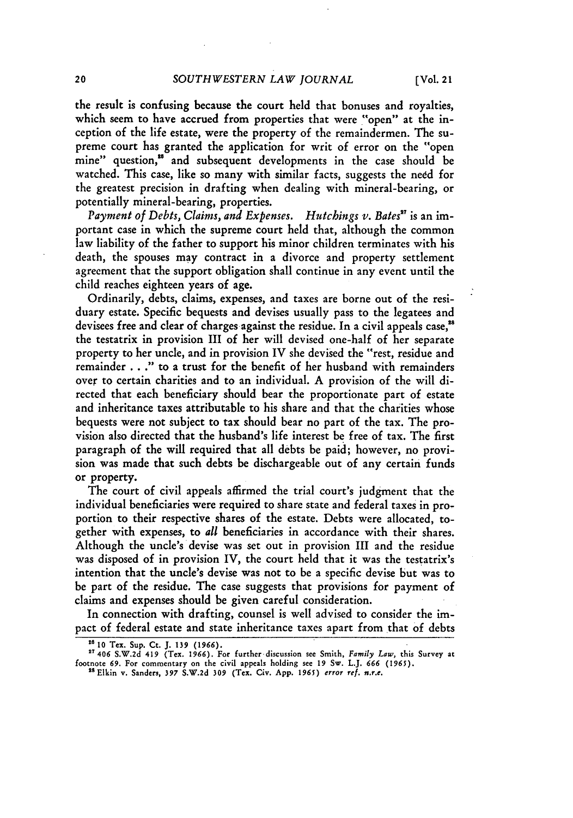the result is confusing because the court held that bonuses and royalties, which seem to have accrued from properties that were "open" at the inception of the life estate, were the property of the remaindermen. The supreme court has granted the application for writ of error on the "open mine" question,<sup>18</sup> and subsequent developments in the case should be watched. This case, like so many with similar facts, suggests the need for the greatest precision in drafting when dealing with mineral-bearing, or potentially mineral-bearing, properties.

*Payment of Debts, Claims, and Expenses. Hutchings v. Bales"* is an important case in which the supreme court held that, although the common law liability of the father to support his minor children terminates with his death, the spouses may contract in a divorce and property settlement agreement that the support obligation shall continue in any event until the child reaches eighteen years of age.

Ordinarily, debts, claims, expenses, and taxes are borne out of the residuary estate. Specific bequests and devises usually pass to the legatees and devisees free and clear of charges against the residue. In a civil appeals case,<sup>28</sup> the testatrix in provision III of her will devised one-half of her separate property to her uncle, and in provision IV she devised the "rest, residue and remainder . . ." to a trust for the benefit of her husband with remainders over to certain charities and to an individual. A provision of the will directed that each beneficiary should bear the proportionate part of estate and inheritance taxes attributable to his share and that the charities whose bequests were not subject to tax should bear no part of the tax. The provision also directed that the husband's life interest be free of tax. The first paragraph of the will required that all debts be paid; however, no provision was made that such debts be dischargeable out of any certain funds or property.

The court of civil appeals affirmed the trial court's judgment that the individual beneficiaries were required to share state and federal taxes in proportion to their respective shares of the estate. Debts were allocated, together with expenses, to *all* beneficiaries in accordance with their shares. Although the uncle's devise was set out in provision III and the residue was disposed of in provision IV, the court held that it was the testatrix's intention that the uncle's devise was not to be a specific devise but was to be part of the residue. The case suggests that provisions for payment of claims and expenses should be given careful consideration.

In connection with drafting, counsel is well advised to consider the impact of federal estate and state inheritance taxes apart from that of debts

**<sup>2 10</sup>** Tex. Sup. Ct. J. *139* **(1966). 27** 406 **S.W.2d** 419 (Tex. **1966). For** furtherdiscussion **see** Smith, *Family Law,* this Survey at footnote **69.** For commentary on **the** civil appeals holding **see 19 Sw.** L.J. *666 (1965).* "Elkin v. Sanders, **397 S.W.2d 309 (Tex.** Civ. **App.** *1965) error ref. n.r.e.*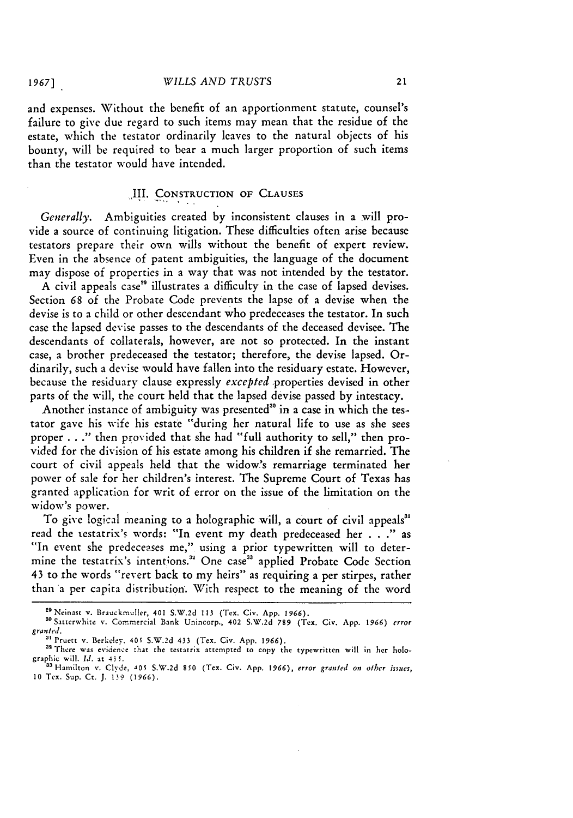and expenses. Without the benefit of an apportionment statute, counsel's failure to give due regard to such items may mean that the residue of the estate, which the testator ordinarily leaves to the natural objects of his bounty, will be required to bear a much larger proportion of such items than the testator would have intended.

### ,IL. CONSTRUCTION OF **CLAUSES**

*Generally.* Ambiguities created by inconsistent clauses in a will provide a source of continuing litigation. These difficulties often arise because testators prepare their own wills without the benefit of expert review. Even in the absence of patent ambiguities, the language of the document may dispose of properties in a way that was not intended **by** the testator.

A civil appeals case" illustrates a difficulty in the case of lapsed devises. Section 68 of the Probate Code prevents the lapse of a devise when the devise is to a child or other descendant who predeceases the testator. In such case the lapsed devise passes to the descendants of the deceased devisee. The descendants of collaterals, however, are not so protected. In the instant case, a brother predeceased the testator; therefore, the devise lapsed. Ordinarily, such a devise would have fallen into the residuary estate. However, because the residuary clause expressly *excepted* properties devised in other parts of the will, the court held that the lapsed devise passed by intestacy.

Another instance of ambiguity was presented<sup>30</sup> in a case in which the testator gave his wife his estate "during her natural life to use as she sees proper **. . ."** then provided that she had "full authority to sell," then provided for the division of his estate among his children if she remarried. The court of civil appeals held that the widow's remarriage terminated her power of sale for her children's interest. The Supreme Court of Texas has granted application for writ of error on the issue of the limitation on the widow's power.

To give logical meaning to a holographic will, a court of civil appeals<sup>31</sup> read the xestatrix's words: "In event my death predeceased her **. . ."** as "In event she predeceases me," using a prior typewritten will to determine the testatrix's intentions.<sup>32</sup> One case<sup>33</sup> applied Probate Code Section 43 to the words "revert back to my heirs" as requiring a per stirpes, rather than a per capita distribution. With respect to the meaning of the word

**"** Pruett v. Berkelev. 405 S.W.2d 433 (Tex. Civ. App. *1966).*

<sup>2</sup> 9Neinast v. Brauckmuller, 401 S.W.2d **113** (Tex. Civ. App. *1966).*

<sup>30</sup>Satterwhite v. Commercial Bank Unincorp., 402 S.W.2d **789** (Tex. **Civ. App.** *1966) error granted.*

<sup>&</sup>lt;sup>32</sup> There was evidence that the testatrix attempted to copy the typewritten will in her holographic will. *Id.* at 435.

<sup>&</sup>quot;aHamilton v. Clyde, **A0\$** S.W.2d **850** (Tex. Civ. App. *1966), error granted on other* issues, **10** Tex. Sup. Ct. J. *1.9* (1966).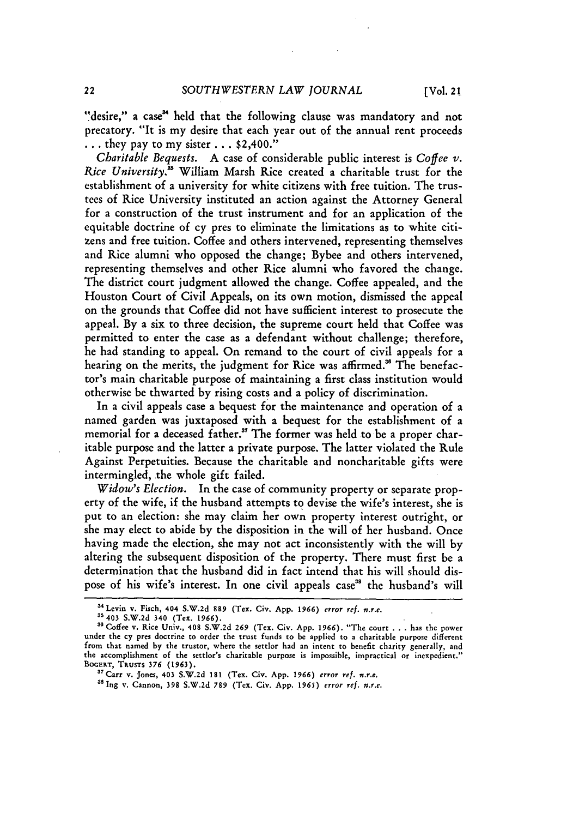"desire," a case" held that the following clause was mandatory and not precatory. "It is my desire that each year out of the annual rent proceeds ... they pay to my sister ... \$2,400."

*Charitable Bequests.* A case of considerable public interest is *Coffee v. Rice University.'* William Marsh Rice created a charitable trust for the establishment of a university for white citizens with free tuition. The trustees of Rice University instituted an action against the Attorney General for a construction of the trust instrument and for an application of the equitable doctrine of cy pres to eliminate the limitations as to white citizens and free tuition. Coffee and others intervened, representing themselves and Rice alumni who opposed the change; Bybee and others intervened, representing themselves and other Rice alumni who favored the change. The district court judgment allowed the change. Coffee appealed, and the Houston Court of Civil Appeals, on its own motion, dismissed the appeal on the grounds that Coffee did not have sufficient interest to prosecute the appeal. By a six to three decision, the supreme court held that Coffee was permitted to enter the case as a defendant without challenge; therefore, he had standing to appeal. On remand to the court of civil appeals for a hearing on the merits, the judgment for Rice was affirmed.<sup>36</sup> The benefactor's main charitable purpose of maintaining a first class institution would otherwise be thwarted by rising costs and a policy of discrimination.

In a civil appeals case a bequest for the maintenance and operation of a named garden was juxtaposed with a bequest for the establishment of a memorial for a deceased father.<sup>37</sup> The former was held to be a proper charitable purpose and the latter a private purpose. The latter violated the Rule Against Perpetuities. Because the charitable and noncharitable gifts were intermingled, the whole gift failed.

*Widow's Election.* In the case of community property or separate property of the wife, if the husband attempts to devise the wife's interest, she is put to an election: she may claim her own property interest outright, or she may elect to abide by the disposition in the will of her husband. Once having made the election, she may not act inconsistently with the will by altering the subsequent disposition of the property. There must first be a determination that the husband did in fact intend that his will should dispose of his wife's interest. In one civil appeals case<sup>38</sup> the husband's will

**<sup>&#</sup>x27;Levin v. Fisch, 404 S.W.2d** 889 **(Tex. Civ. App. 1966)** error **ref.** n.r.e.

**<sup>3&#</sup>x27;403 S.W.2d 340 (Tex. 1966). <sup>3</sup>**Coffee v. Rice Univ., **408 S.W.2d 269** (Tex. Civ. **App. 1966).** "The court .**.**.**has** the power under **the cy** pres doctrine **to** order the trust funds **to** be applied **to a** charitable purpose different from that named **by the trustor,** where the settlor **had an** intent **to** benefit charity generally, **and** the accomplishment **of the** settlor's charitable purpose is impossible, impractical **or** inexpedient." **BOGERT, TRUSTS 376 (1963). <sup>3</sup> <sup>7</sup>**

**Carr** v. **Jones,** 403 **S.W.2d** 181 (Tex. **Civ. App. 1966)** error ref. *n.r.e.* **"SIng** v. **Cannon, 398 S.W.2d 789** (Tex. **Civ. App. 1965)** error ref. n.r.e.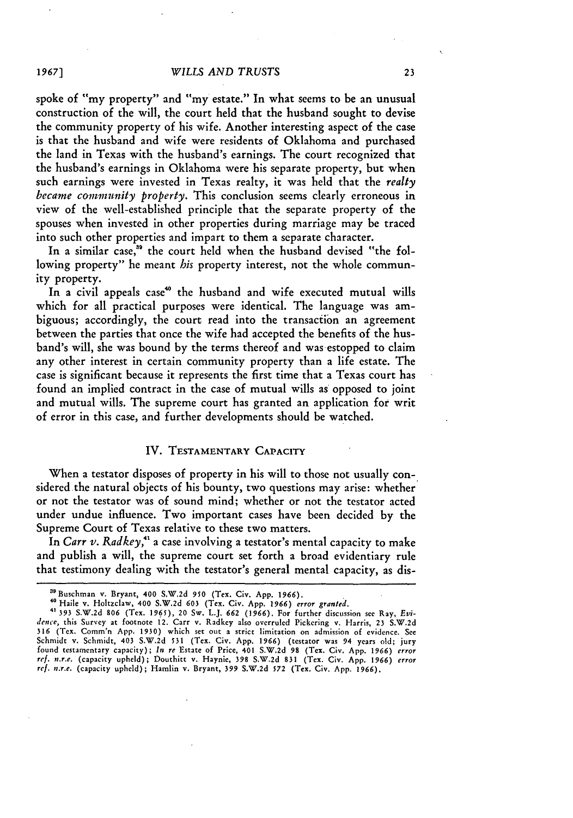spoke of "my property" and "my estate." In what seems to be an unusual construction of the will, the court held that the husband sought to devise the community property of his wife. Another interesting aspect of the case is that the husband and wife were residents of Oklahoma and purchased the land in Texas with the husband's earnings. The court recognized that the husband's earnings in Oklahoma were his separate property, but when such earnings were invested in Texas realty, it was held that the *realty became community property.* This conclusion seems clearly erroneous in view of the well-established principle that the separate property of the spouses when invested in other properties during marriage may be traced into such other properties and impart to them a separate character.

In a similar case," the court held when the husband devised "the following property" he meant *his* property interest, not the whole community property.

In a civil appeals case<sup>40</sup> the husband and wife executed mutual wills which for all practical purposes were identical. The language was ambiguous; accordingly, the court read into the transaction an agreement between the parties that once the wife had accepted the benefits of the husband's will, she was bound by the terms thereof and was estopped to claim any other interest in certain community property than a life estate. The case is significant because it represents the first time that a Texas court has found an implied contract in the case of mutual wills as opposed to joint and mutual wills. The supreme court has granted an application for writ of error in this case, and further developments should be watched.

## IV. TESTAMENTARY CAPACITY

When a testator disposes of property in his will to those not usually considered the natural objects of his bounty, two questions may arise: whether or not the testator was of sound mind; whether or not the testator acted under undue influence. Two important cases have been decided by the Supreme Court of Texas relative to these two matters.

In *Carr v. Radkey*,<sup>41</sup> a case involving a testator's mental capacity to make and publish a will, the supreme court set forth a broad evidentiary rule that testimony dealing with the testator's general mental capacity, as dis-

*1967]*

<sup>&</sup>quot;Buschman v. Bryant, 400 S.W.2d **950** (Tex. Civ. App. **1966).**

<sup>&</sup>lt;sup>40</sup> Haile v. Holtzclaw, 400 S.W.2d 603 (Tex. Civ. App. 1966) error granted.<br><sup>41</sup> 191 S.W.2d 806 (Tex. 1965) 20 Sw. J.J. 662 (1966). Eac further discussion are Bern Fri.

*dence,* this Survey at footnote 12. Carr v. Radkey also overruled Pickering v. Harris, 23 S.W.2d **316** (Tex. Comm'n App. **1930)** which set out a strict limitation on admission of evidence. See Schmidt v. Schmidt, 403 S.W.2d 531 (Tex. Civ. App. 1966) (testator was 94 years old; jury<br>found testamentary capacity); In re Estate of Price, 401 S.W.2d 98 (Tex. Civ. App. 1966) error<br>ref. n.r.e. (capacity upheld); Douthi *ref. n.r.e.* (capacity upheld); Hamlin v. Bryant, 399 S.W.2d **572** (Tex. Civ. App. 1966).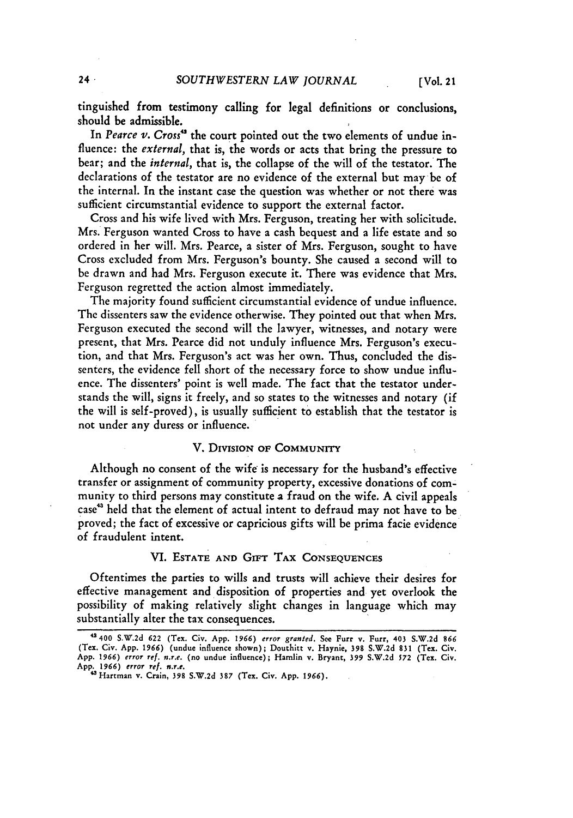tinguished from testimony calling for legal definitions or conclusions, should be admissible.

In *Pearce v. Cross"* the court pointed out the two elements of undue influence: the *external*, that is, the words or acts that bring the pressure to bear; and the *internal,* that is, the collapse of the will of the testator. The declarations of the testator are no evidence of the external but may be of the internal. In the instant case the question was whether or not there was sufficient circumstantial evidence to support the external factor.

Cross and his wife lived with Mrs. Ferguson, treating her with solicitude. Mrs. Ferguson wanted Cross to have a cash bequest and a life estate and so ordered in her will. Mrs. Pearce, a sister of Mrs. Ferguson, sought to have Cross excluded from Mrs. Ferguson's bounty. She caused a second will to be drawn and had Mrs. Ferguson execute it. There was evidence that Mrs. Ferguson regretted the action almost immediately.

The majority found sufficient circumstantial evidence of undue influence. The dissenters saw the evidence otherwise. They pointed out that when Mrs. Ferguson executed the second will the lawyer, witnesses, and notary were present, that Mrs. Pearce did not unduly influence Mrs. Ferguson's execution, and that Mrs. Ferguson's act was her own. Thus, concluded the dissenters, the evidence fell short of the necessary force to show undue influence. The dissenters' point is well made. The fact that the testator understands the will, signs it freely, and so states to the witnesses and notary (if the will is self-proved), is usually sufficient to establish that the testator is not under any duress or influence.

#### V. **DIVISION OF** COMMUNITY

Although no consent of the wife is necessary for the husband's effective transfer or assignment of community property, excessive donations of community to third persons may constitute a fraud on the wife. A civil appeals case4 ' held that the element of actual intent to defraud may not have to be proved; the fact of excessive or capricious gifts will be prima facie evidence of fraudulent intent.

## VI. **ESTATE AND GrFT TAX CONSEQUENCES**

Oftentimes the parties to wills and trusts will achieve their desires for effective management and disposition of properties and yet overlook the possibility of making relatively slight changes in language which may substantially alter the tax consequences.

**<sup>42400</sup> S.W.2d 622 (Tex. Civ. App. 1966) error** granted. **See Furr v. Purr, 403 S.W.2d 866 (Tex. Civ. App. 1966) (undue influence shown); Douthitt v. Haynie, 398 S.W.2d 831 (Tex. Civ. App. 1966) error** ref. **n.r.e. (no undue influence);** Hamlin **v. Bryant, 399 S.W.2d 572 (Tex. Civ. App. 1966) error ref. n.r.e.**

**<sup>&#</sup>x27;Hartman v. Crain, 398 S.W.2d 387 (Tex. Civ. App. 1966).**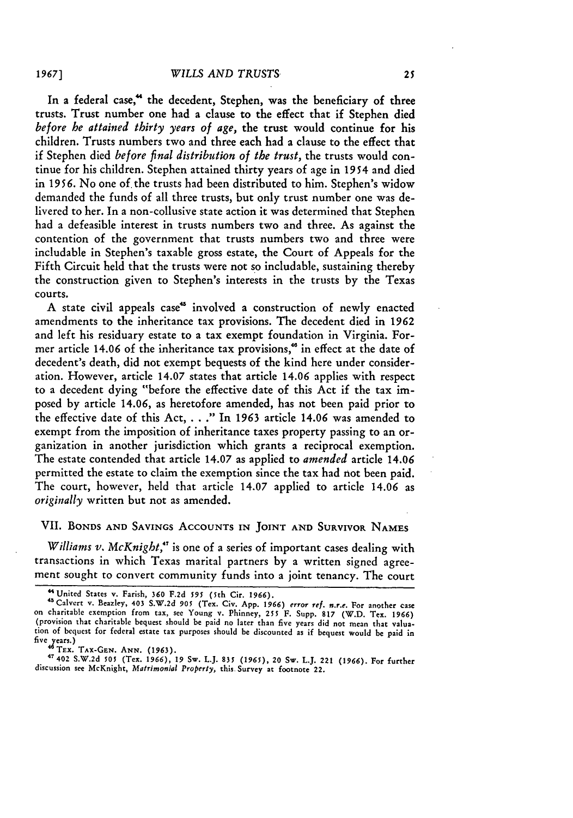In a federal case," the decedent, Stephen, was the beneficiary of three trusts. Trust number one had a clause to the effect that if Stephen died *before he attained thirty years of age,* the trust would continue for his children. Trusts numbers two and three each had a clause to the effect that if Stephen died *before final distribution of the trust,* the trusts would continue for his children. Stephen attained thirty years of age in 1954 and died in 1956. No one of. the trusts had been distributed to him. Stephen's widow demanded the funds of all three trusts, but only trust number one was delivered to her. In a non-collusive state action it was determined that Stephen had a defeasible interest in trusts numbers two and three. As against the contention of the government that trusts numbers two and three were includable in Stephen's taxable gross estate, the Court of Appeals for the Fifth Circuit held that the trusts were not so includable, sustaining thereby the construction given to Stephen's interests in the trusts by the Texas courts.

A state civil appeals case" involved a construction of newly enacted amendments to the inheritance tax provisions. The decedent died in 1962 and left his residuary estate to a tax exempt foundation in Virginia. Former article 14.06 of the inheritance tax provisions," in effect at the date of decedent's death, did not exempt bequests of the kind here under consideration. However, article 14.07 states that article 14.06 applies with respect to a decedent dying "before the effective date of this Act if the tax imposed by article 14.06, as heretofore amended, has not been paid prior to the effective date of this Act, **. .** ." In 1963 article 14.06 was amended to exempt from the imposition of inheritance taxes property passing to an organization in another jurisdiction which grants a reciprocal exemption. The estate contended that article 14.07 as applied to *amended* article 14.06 permitted the estate to claim the exemption since the tax had not been paid. The court, however, held that article 14.07 applied to article 14.06 as *originally* written but not as amended.

## VII. BONDS **AND** SAVINGS ACCOUNTS **IN JOINT AND** SuRvIvoR NAMES

*Williams v. McKnight,"'* is one of a series of important cases dealing with transactions in which Texas marital partners **by** a written signed agreement sought to convert community funds into a joint tenancy. The court

**TEx.** TAx-GEN. **ANN. (1963).** <sup>47402</sup>**S.W.2d \$05 (Tex. 1966), 19 Sw.** L.J. *835 (1965),* 20 **Sw. L.J. 221 (1966). For further** discussion **see** McKnight, *Matrimonial Property,* **this. Survey at footnote 22.**

*1967]*

**<sup>&</sup>quot;United** States v. **Farish, 360** F.2d *595* (5th **Cir.** *1966).* <sup>4</sup>

<sup>&</sup>quot;Calvert **v.** Beazley, **403** S.W.2d *905* (Tex. Civ. App. 1966) *error ref. n.r.e.* **For** another case on charitable exemption from tax, see Young **v.** Phinney, **255** F. Supp. **817 (W.D.** Tex. **1966)** (provision that charitable bequest should be paid no later than five years did not mean that **valua**tion **of** bequest **for federal estate tax** purposes should be discounted as if bequest would be paid in five years.)<br> $46$  Tex. TAX-GEN. ANN. (1963).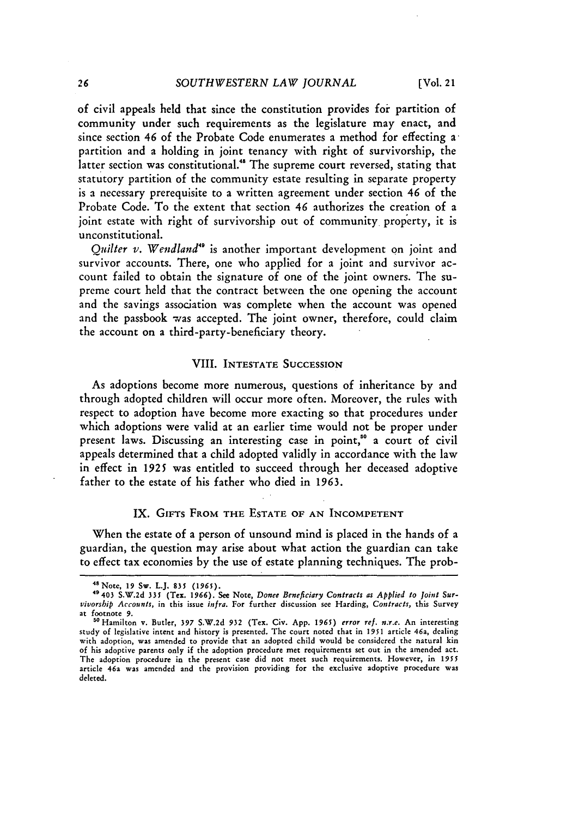of civil appeals held that since the constitution provides for partition of community under such requirements as the legislature may enact, and since section 46 of the Probate Code enumerates a method for effecting apartition and a holding in joint tenancy with right of survivorship, the latter section was constitutional." The supreme court reversed, stating that statutory partition of the community estate resulting in separate property is a necessary prerequisite to a written agreement under section *46* of the Probate Code. To the extent that section 46 authorizes the creation of a joint estate with right of survivorship out of community property, it is unconstitutional.

*Quilter v. Wendland<sup>49</sup>* is another important development on joint and survivor accounts. There, one who applied for a joint and survivor account failed to obtain the signature of one of the joint owners. The supreme court held that the contract between the one opening the account and the savings association was complete when the account was opened and the passbook was accepted. The joint owner, therefore, could claim the account on a third-party-beneficiary theory.

#### VIII. INTESTATE **SUCCESSION**

As adoptions become more numerous, questions of inheritance **by** and through adopted children will occur more often. Moreover, the rules with respect to adoption have become more exacting so that procedures under which adoptions were valid at an earlier time would not be proper under present laws. Discussing an interesting case in point," a court of civil appeals determined that a child adopted validly in accordance with the law in effect in **1925** was entitled to succeed through her deceased adoptive father to the estate of his father who died in **1963.**

#### IX. GIFTS FROM THE ESTATE OF AN INCOMPETENT

When the estate of a person of unsound mind is placed in the hands of a guardian, the question may arise about what action the guardian can take to effect tax economies **by** the use of estate planning techniques. The prob-

<sup>&</sup>lt;sup>48</sup> Note, 19 Sw. L.J. 835 (1965).

<sup>&</sup>lt;sup>49</sup> 403 S.W.2d 335 (Tex. 1966). See Note, *Donce Beneficiary Contracts as Applied to Joint Sur-*<br>vivorship Accounts, in this issue infra. For further discussion see Harding, Contracts, this Survey at footnote **9.**

<sup>&</sup>quot; Hamilton v. Butler, **397** S.W.2d 932 (Tex. Civ. App. 1965) *error ref. n.r.e.* An interesting study of legislative intent and history is presented. The court noted that in **1951** article 46a, dealing with adoption, was amended to provide that an adopted child would be considered the natural kin of his adoptive parents only if the adoption procedure met requirements set out in the amended act. The adoption procedure in the present case did not meet such requirements. However, in 1955 article 46a was amended and the provision providing for the exclusive adoptive procedure was deleted.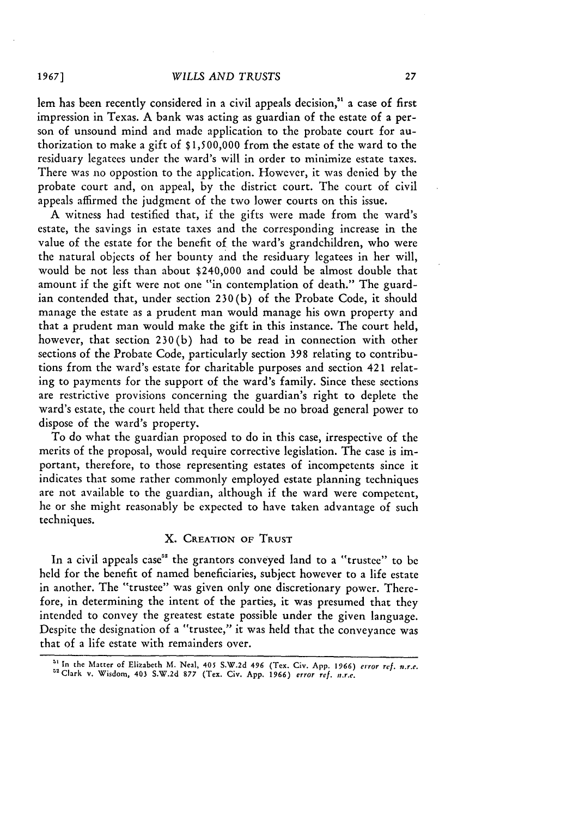#### *WILLS AND TRUSTS*

lem has been recently considered in a civil appeals decision,<sup>31</sup> a case of first impression in Texas. A bank was acting as guardian of the estate of a person of unsound mind and made application to the probate court for authorization to make a gift of \$1,500,000 from the estate of the ward to the residuary legatees under the ward's will in order to minimize estate taxes. There was no oppostion to the application. However, it was denied by the probate court and, on appeal, by the district court. The court of civil appeals affirmed the judgment of the two lower courts on this issue.

A witness had testified that, if the gifts were made from the ward's estate, the savings in estate taxes and the corresponding increase in the value of the estate for the benefit of the ward's grandchildren, who were the natural objects of her bounty and the residuary legatees in her will, would be not less than about \$240,000 and could be almost double that amount if the gift were not one "in contemplation of death." The guardian contended that, under section 230(b) of the Probate Code, it should manage the estate as a prudent man would manage his own property and that a prudent man would make the gift in this instance. The court held, however, that section 230(b) had to be read in connection with other sections of the Probate Code, particularly section 398 relating to contributions from the ward's estate for charitable purposes and section 421 relating to payments for the support of the ward's family. Since these sections are restrictive provisions concerning the guardian's right to deplete the ward's estate, the court held that there could be no broad general power to dispose of the ward's property.

To do what the guardian proposed to do in this case, irrespective of the merits of the proposal, would require corrective legislation. The case is important, therefore, to those representing estates of incompetents since it indicates that some rather commonly employed estate planning techniques are not available to the guardian, although if the ward were competent, he or she might reasonably be expected to have taken advantage of such techniques.

## X. **CREATION OF** TRUST

In a civil appeals case<sup>52</sup> the grantors conveyed land to a "trustee" to be held for the benefit of named beneficiaries, subject however to a life estate in another. The "trustee" was given only one discretionary power. Therefore, in determining the intent of the parties, it was presumed that they intended to convey the greatest estate possible under the given language. Despite the designation of a "trustee," it was held that the conveyance was that of a life estate with remainders over.

*1967]*

<sup>&</sup>lt;sup>51</sup> In the Matter of Elizabeth M. Neal, 405 S.W.2d 496 (Tex. Civ. App. 1966) error ref. n.r.e.<br><sup>52</sup> Clark v. Wisdom, 403 S.W.2d 877 (Tex. Civ. App. 1966) error ref. n.r.e.